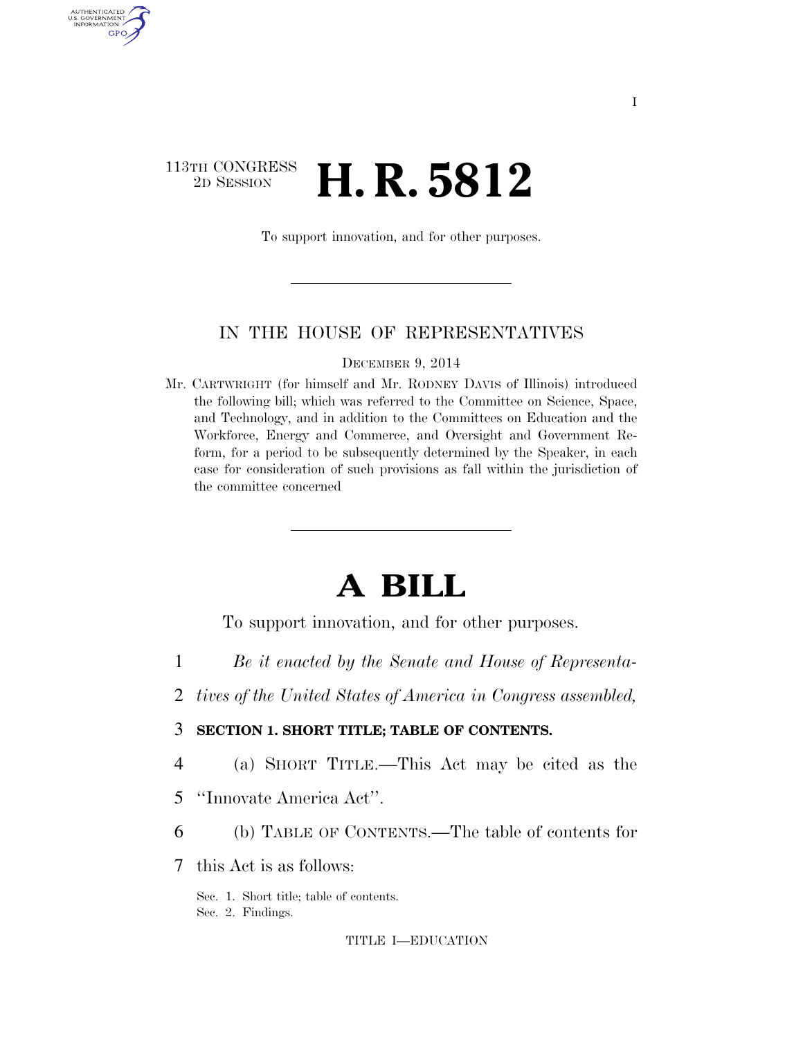### 113TH CONGRESS<br>2D SESSION 2D SESSION **H. R. 5812**

AUTHENTICATED U.S. GOVERNMENT GPO

To support innovation, and for other purposes.

#### IN THE HOUSE OF REPRESENTATIVES

DECEMBER 9, 2014

Mr. CARTWRIGHT (for himself and Mr. RODNEY DAVIS of Illinois) introduced the following bill; which was referred to the Committee on Science, Space, and Technology, and in addition to the Committees on Education and the Workforce, Energy and Commerce, and Oversight and Government Reform, for a period to be subsequently determined by the Speaker, in each case for consideration of such provisions as fall within the jurisdiction of the committee concerned

# **A BILL**

To support innovation, and for other purposes.

- 1 *Be it enacted by the Senate and House of Representa-*
- 2 *tives of the United States of America in Congress assembled,*

#### 3 **SECTION 1. SHORT TITLE; TABLE OF CONTENTS.**

- 4 (a) SHORT TITLE.—This Act may be cited as the
- 5 ''Innovate America Act''.
- 6 (b) TABLE OF CONTENTS.—The table of contents for
- 7 this Act is as follows:

Sec. 1. Short title; table of contents. Sec. 2. Findings.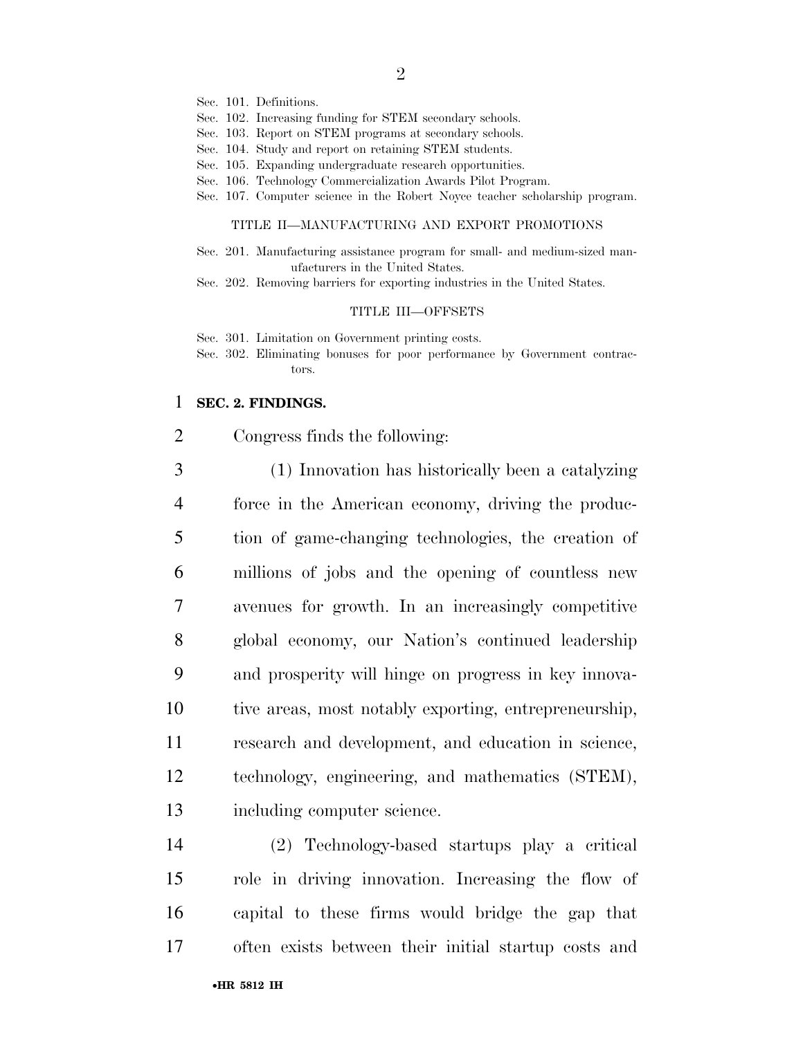- Sec. 101. Definitions.
- Sec. 102. Increasing funding for STEM secondary schools.
- Sec. 103. Report on STEM programs at secondary schools.
- Sec. 104. Study and report on retaining STEM students.
- Sec. 105. Expanding undergraduate research opportunities.
- Sec. 106. Technology Commercialization Awards Pilot Program.
- Sec. 107. Computer science in the Robert Noyce teacher scholarship program.

#### TITLE II—MANUFACTURING AND EXPORT PROMOTIONS

- Sec. 201. Manufacturing assistance program for small- and medium-sized manufacturers in the United States.
- Sec. 202. Removing barriers for exporting industries in the United States.

#### TITLE III—OFFSETS

Sec. 301. Limitation on Government printing costs.

Sec. 302. Eliminating bonuses for poor performance by Government contractors.

#### 1 **SEC. 2. FINDINGS.**

- 2 Congress finds the following:
- 3 (1) Innovation has historically been a catalyzing 4 force in the American economy, driving the produc-5 tion of game-changing technologies, the creation of 6 millions of jobs and the opening of countless new 7 avenues for growth. In an increasingly competitive 8 global economy, our Nation's continued leadership 9 and prosperity will hinge on progress in key innova-10 tive areas, most notably exporting, entrepreneurship, 11 research and development, and education in science, 12 technology, engineering, and mathematics (STEM), 13 including computer science.
- 14 (2) Technology-based startups play a critical 15 role in driving innovation. Increasing the flow of 16 capital to these firms would bridge the gap that 17 often exists between their initial startup costs and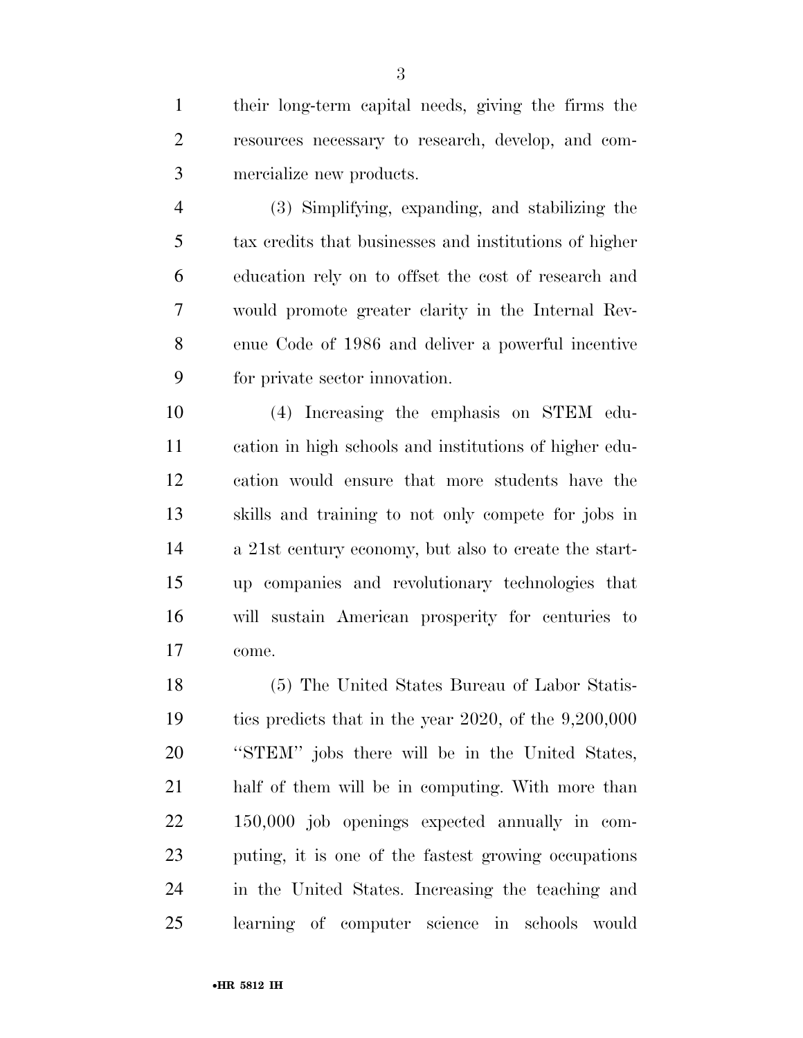their long-term capital needs, giving the firms the resources necessary to research, develop, and com-mercialize new products.

 (3) Simplifying, expanding, and stabilizing the tax credits that businesses and institutions of higher education rely on to offset the cost of research and would promote greater clarity in the Internal Rev- enue Code of 1986 and deliver a powerful incentive for private sector innovation.

 (4) Increasing the emphasis on STEM edu- cation in high schools and institutions of higher edu- cation would ensure that more students have the skills and training to not only compete for jobs in a 21st century economy, but also to create the start- up companies and revolutionary technologies that will sustain American prosperity for centuries to come.

 (5) The United States Bureau of Labor Statis- tics predicts that in the year 2020, of the 9,200,000 ''STEM'' jobs there will be in the United States, half of them will be in computing. With more than 150,000 job openings expected annually in com- puting, it is one of the fastest growing occupations in the United States. Increasing the teaching and learning of computer science in schools would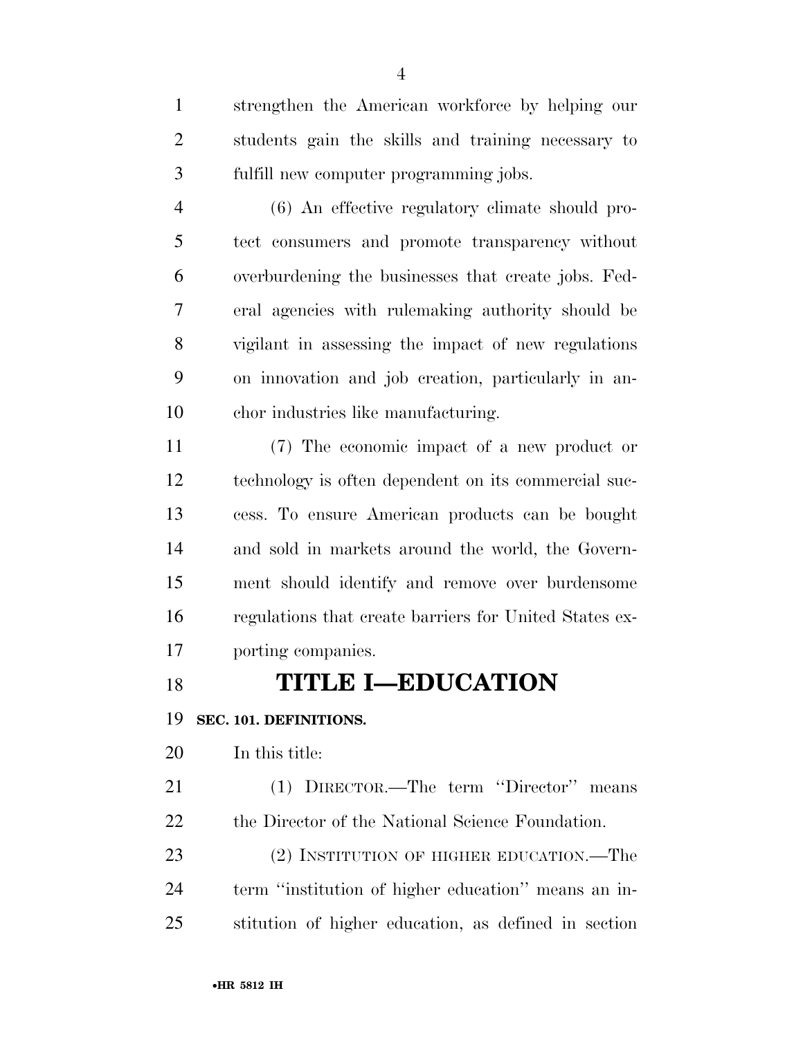strengthen the American workforce by helping our students gain the skills and training necessary to fulfill new computer programming jobs.

 (6) An effective regulatory climate should pro- tect consumers and promote transparency without overburdening the businesses that create jobs. Fed- eral agencies with rulemaking authority should be vigilant in assessing the impact of new regulations on innovation and job creation, particularly in an-chor industries like manufacturing.

 (7) The economic impact of a new product or technology is often dependent on its commercial suc- cess. To ensure American products can be bought and sold in markets around the world, the Govern- ment should identify and remove over burdensome regulations that create barriers for United States ex-porting companies.

# **TITLE I—EDUCATION**

#### **SEC. 101. DEFINITIONS.**

In this title:

 (1) DIRECTOR.—The term ''Director'' means 22 the Director of the National Science Foundation.

23 (2) INSTITUTION OF HIGHER EDUCATION.—The term ''institution of higher education'' means an in-stitution of higher education, as defined in section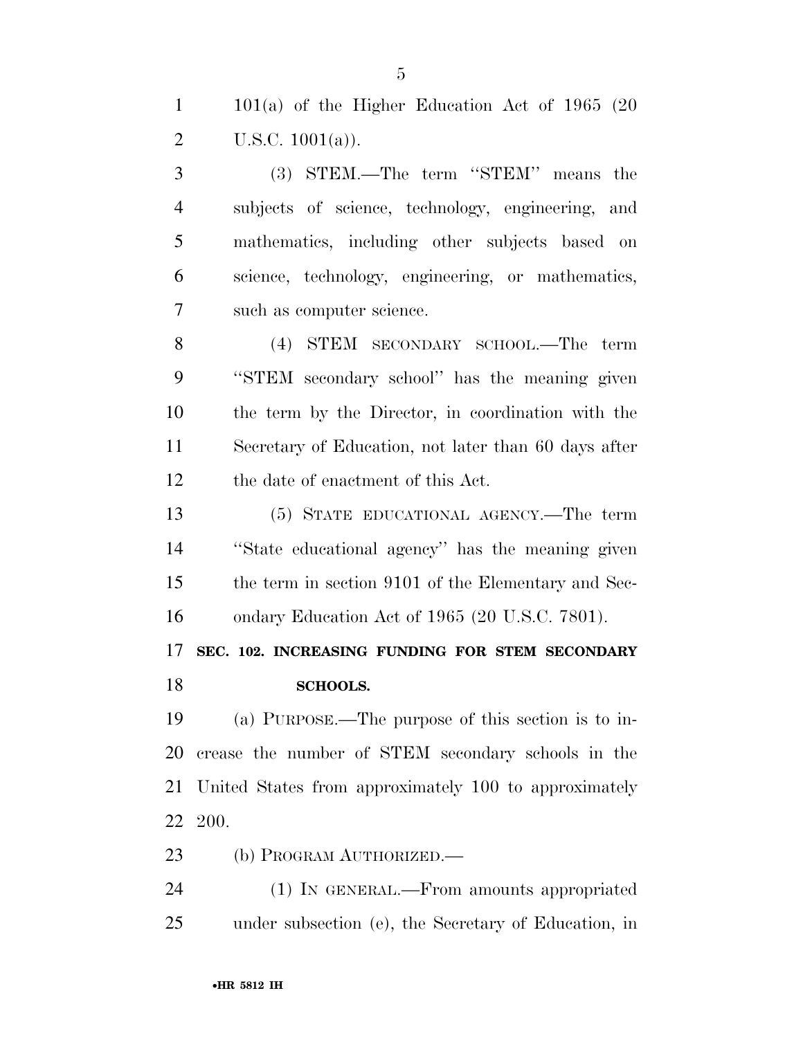| $\mathbf{1}$   | $101(a)$ of the Higher Education Act of 1965 (20      |
|----------------|-------------------------------------------------------|
| $\overline{2}$ | U.S.C. $1001(a)$ ).                                   |
| 3              | (3) STEM.—The term "STEM" means the                   |
| $\overline{4}$ | subjects of science, technology, engineering, and     |
| 5              | mathematics, including other subjects based on        |
| 6              | science, technology, engineering, or mathematics,     |
| 7              | such as computer science.                             |
| 8              | (4) STEM SECONDARY SCHOOL.—The<br>term                |
| 9              | "STEM secondary school" has the meaning given         |
| 10             | the term by the Director, in coordination with the    |
| 11             | Secretary of Education, not later than 60 days after  |
| 12             | the date of enactment of this Act.                    |
| 13             | (5) STATE EDUCATIONAL AGENCY.—The term                |
| 14             | "State educational agency" has the meaning given      |
| 15             | the term in section 9101 of the Elementary and Sec-   |
| 16             | ondary Education Act of 1965 (20 U.S.C. 7801).        |
| 17             | SEC. 102. INCREASING FUNDING FOR STEM SECONDARY       |
| 18             | <b>SCHOOLS.</b>                                       |
| 19             | (a) PURPOSE.—The purpose of this section is to in-    |
| 20             | crease the number of STEM secondary schools in the    |
| 21             | United States from approximately 100 to approximately |
|                | 22 200.                                               |

(b) PROGRAM AUTHORIZED.—

 (1) IN GENERAL.—From amounts appropriated under subsection (e), the Secretary of Education, in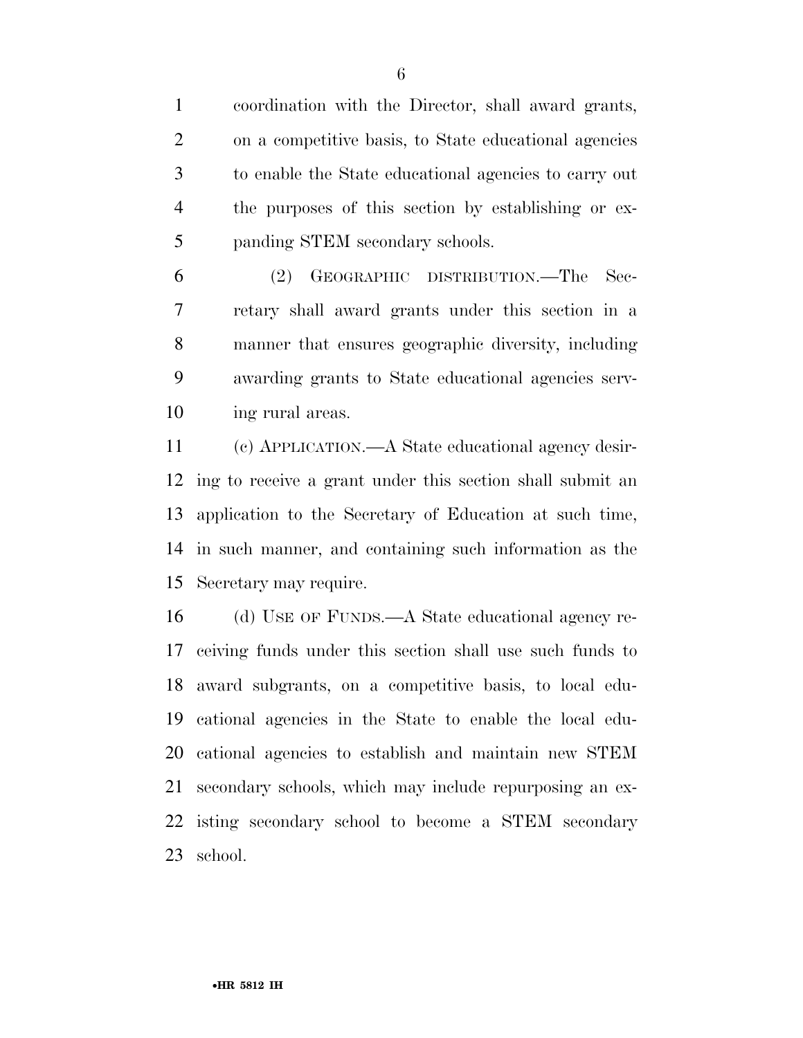coordination with the Director, shall award grants, on a competitive basis, to State educational agencies to enable the State educational agencies to carry out the purposes of this section by establishing or ex-panding STEM secondary schools.

 (2) GEOGRAPHIC DISTRIBUTION.—The Sec- retary shall award grants under this section in a manner that ensures geographic diversity, including awarding grants to State educational agencies serv-ing rural areas.

 (c) APPLICATION.—A State educational agency desir- ing to receive a grant under this section shall submit an application to the Secretary of Education at such time, in such manner, and containing such information as the Secretary may require.

 (d) USE OF FUNDS.—A State educational agency re- ceiving funds under this section shall use such funds to award subgrants, on a competitive basis, to local edu- cational agencies in the State to enable the local edu- cational agencies to establish and maintain new STEM secondary schools, which may include repurposing an ex- isting secondary school to become a STEM secondary school.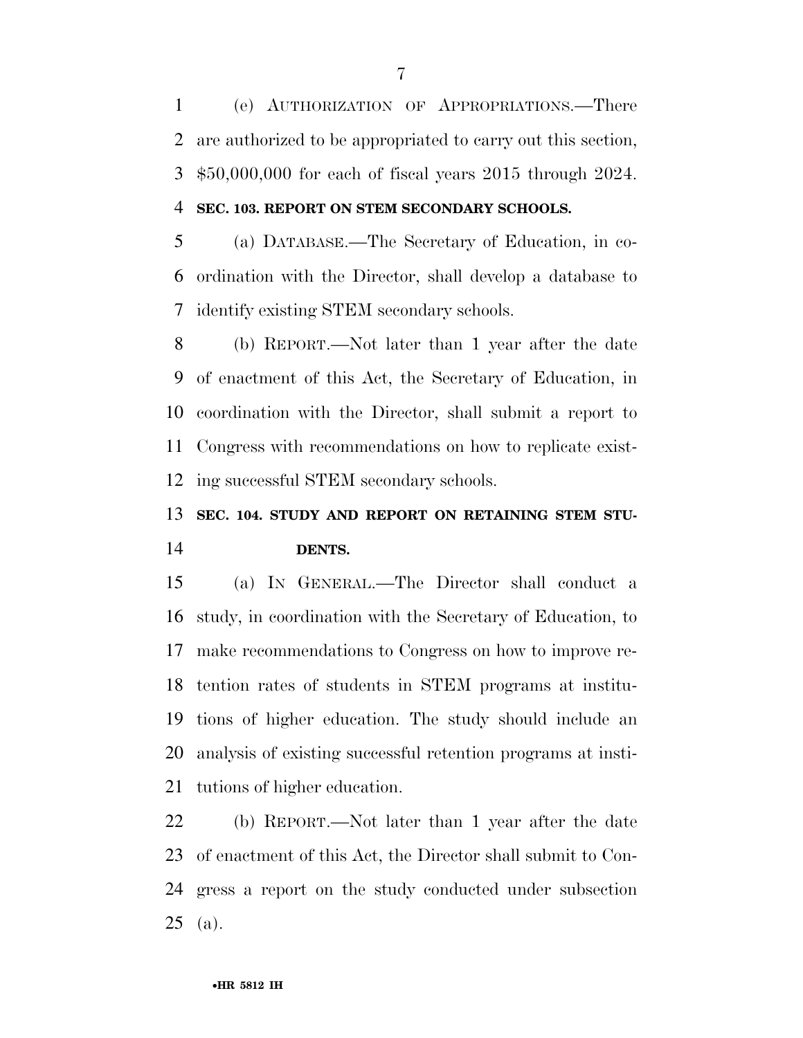(e) AUTHORIZATION OF APPROPRIATIONS.—There are authorized to be appropriated to carry out this section, \$50,000,000 for each of fiscal years 2015 through 2024. **SEC. 103. REPORT ON STEM SECONDARY SCHOOLS.** 

 (a) DATABASE.—The Secretary of Education, in co- ordination with the Director, shall develop a database to identify existing STEM secondary schools.

 (b) REPORT.—Not later than 1 year after the date of enactment of this Act, the Secretary of Education, in coordination with the Director, shall submit a report to Congress with recommendations on how to replicate exist-ing successful STEM secondary schools.

# **SEC. 104. STUDY AND REPORT ON RETAINING STEM STU-DENTS.**

 (a) IN GENERAL.—The Director shall conduct a study, in coordination with the Secretary of Education, to make recommendations to Congress on how to improve re- tention rates of students in STEM programs at institu- tions of higher education. The study should include an analysis of existing successful retention programs at insti-tutions of higher education.

 (b) REPORT.—Not later than 1 year after the date of enactment of this Act, the Director shall submit to Con- gress a report on the study conducted under subsection (a).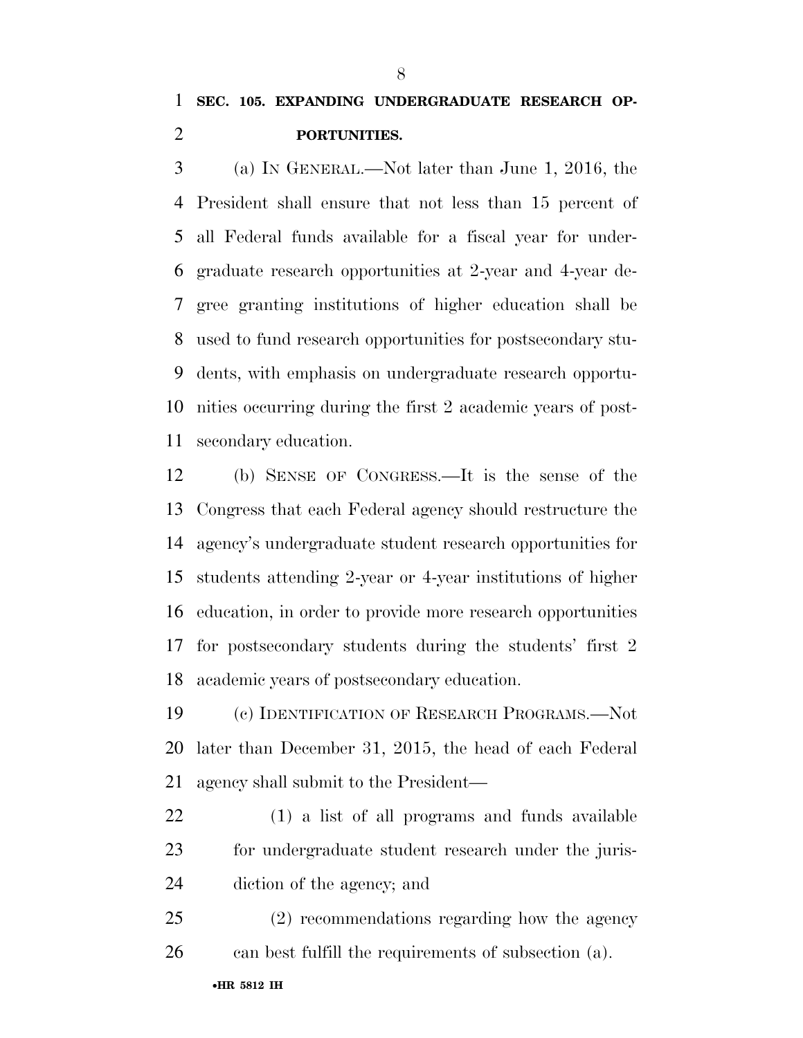# **SEC. 105. EXPANDING UNDERGRADUATE RESEARCH OP-PORTUNITIES.**

 (a) IN GENERAL.—Not later than June 1, 2016, the President shall ensure that not less than 15 percent of all Federal funds available for a fiscal year for under- graduate research opportunities at 2-year and 4-year de- gree granting institutions of higher education shall be used to fund research opportunities for postsecondary stu- dents, with emphasis on undergraduate research opportu- nities occurring during the first 2 academic years of post-secondary education.

 (b) SENSE OF CONGRESS.—It is the sense of the Congress that each Federal agency should restructure the agency's undergraduate student research opportunities for students attending 2-year or 4-year institutions of higher education, in order to provide more research opportunities for postsecondary students during the students' first 2 academic years of postsecondary education.

 (c) IDENTIFICATION OF RESEARCH PROGRAMS.—Not later than December 31, 2015, the head of each Federal agency shall submit to the President—

 (1) a list of all programs and funds available for undergraduate student research under the juris-diction of the agency; and

 (2) recommendations regarding how the agency can best fulfill the requirements of subsection (a).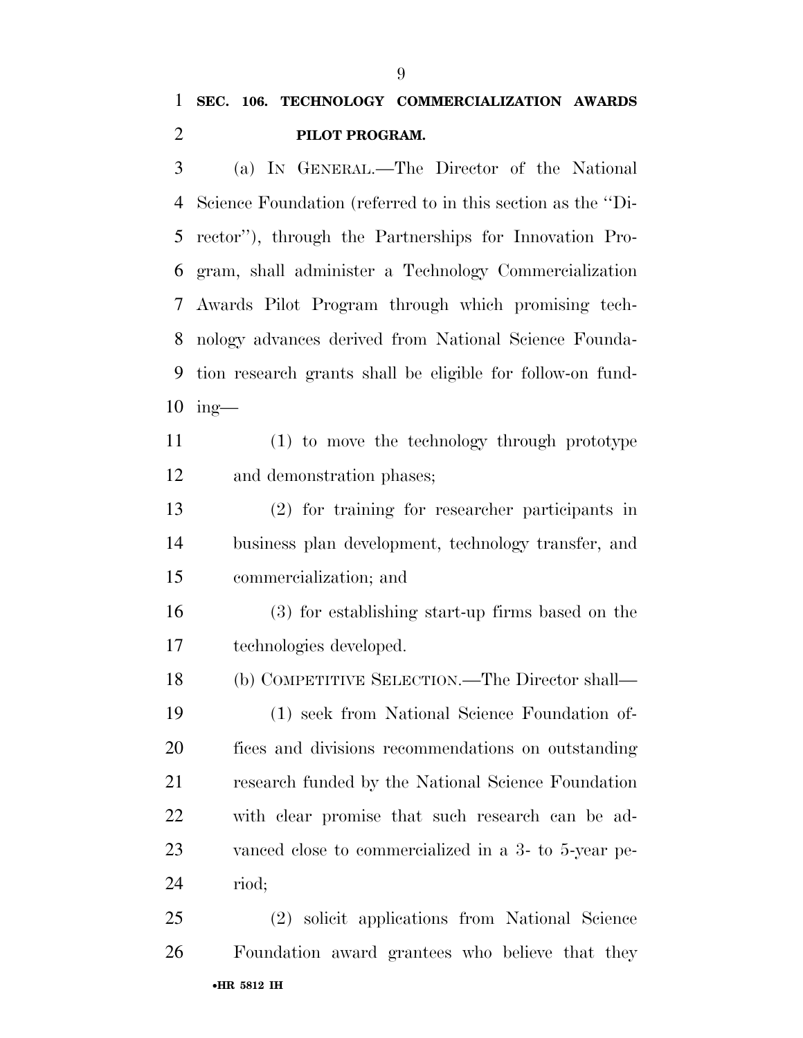(a) IN GENERAL.—The Director of the National Science Foundation (referred to in this section as the ''Di- rector''), through the Partnerships for Innovation Pro- gram, shall administer a Technology Commercialization Awards Pilot Program through which promising tech- nology advances derived from National Science Founda- tion research grants shall be eligible for follow-on fund-ing—

 (1) to move the technology through prototype and demonstration phases;

 (2) for training for researcher participants in business plan development, technology transfer, and commercialization; and

 (3) for establishing start-up firms based on the technologies developed.

 (b) COMPETITIVE SELECTION.—The Director shall— (1) seek from National Science Foundation of- fices and divisions recommendations on outstanding research funded by the National Science Foundation with clear promise that such research can be ad- vanced close to commercialized in a 3- to 5-year pe-riod;

•**HR 5812 IH** (2) solicit applications from National Science Foundation award grantees who believe that they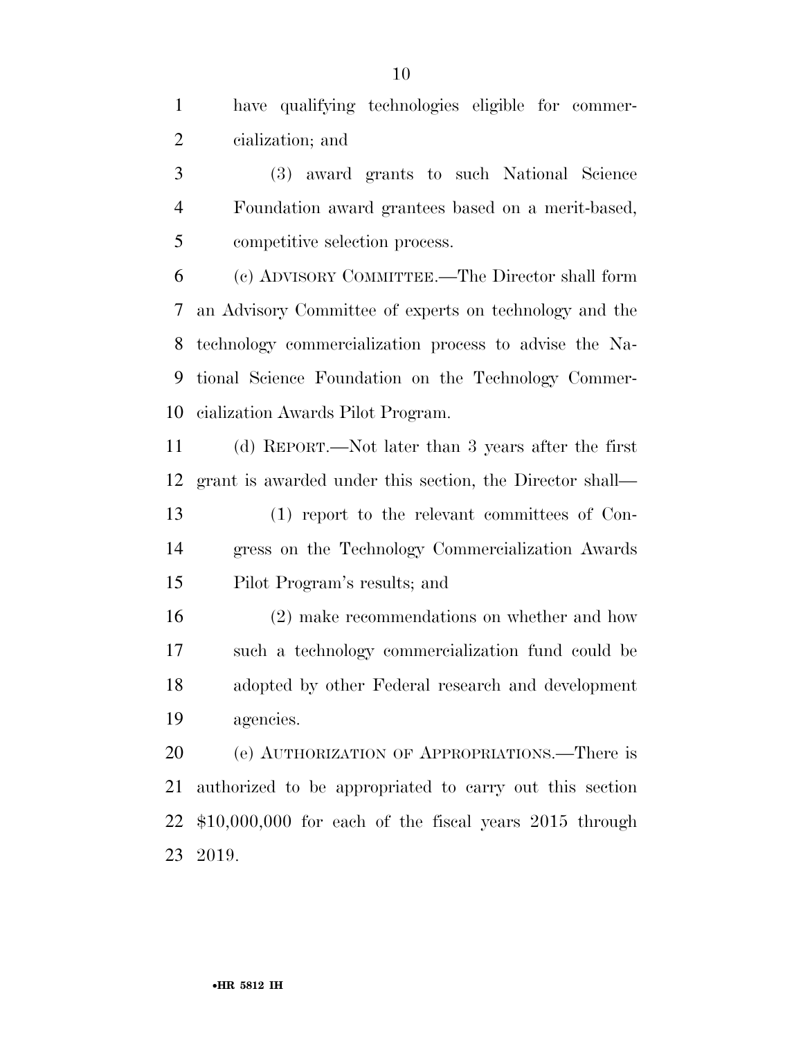have qualifying technologies eligible for commer-cialization; and

 (3) award grants to such National Science Foundation award grantees based on a merit-based, competitive selection process.

 (c) ADVISORY COMMITTEE.—The Director shall form an Advisory Committee of experts on technology and the technology commercialization process to advise the Na- tional Science Foundation on the Technology Commer-cialization Awards Pilot Program.

 (d) REPORT.—Not later than 3 years after the first grant is awarded under this section, the Director shall—

 (1) report to the relevant committees of Con- gress on the Technology Commercialization Awards Pilot Program's results; and

 (2) make recommendations on whether and how such a technology commercialization fund could be adopted by other Federal research and development agencies.

 (e) AUTHORIZATION OF APPROPRIATIONS.—There is authorized to be appropriated to carry out this section \$10,000,000 for each of the fiscal years 2015 through 2019.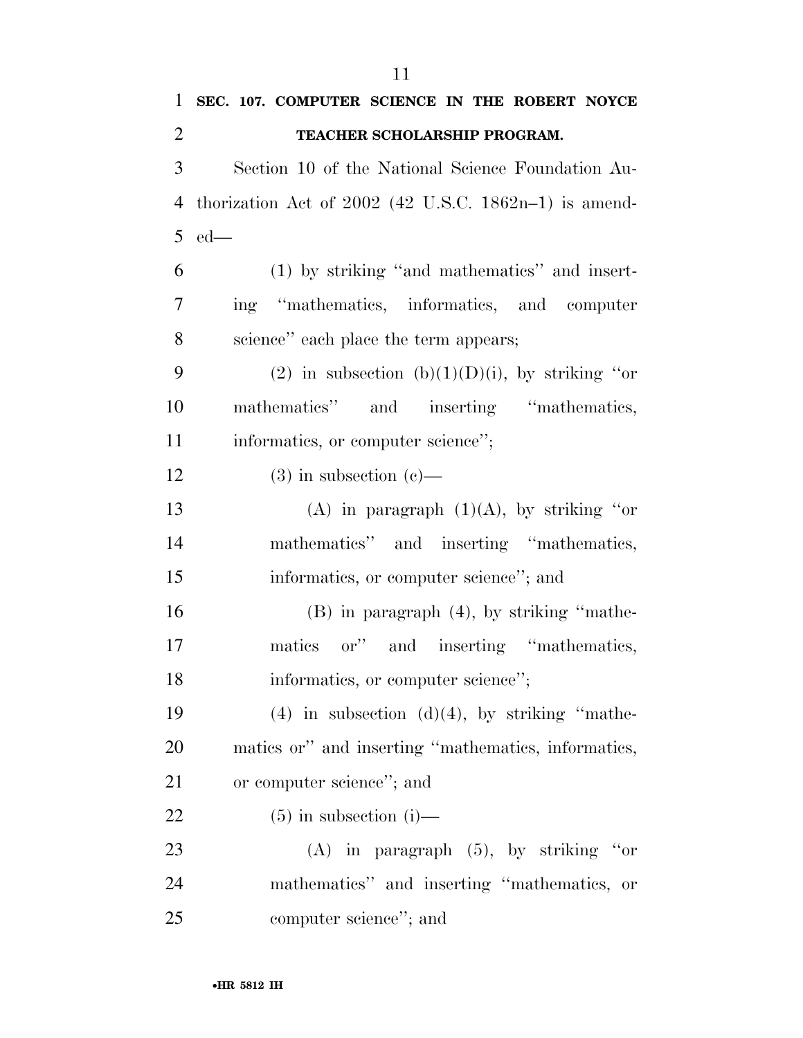**TEACHER SCHOLARSHIP PROGRAM.**  Section 10 of the National Science Foundation Au- thorization Act of 2002 (42 U.S.C. 1862n–1) is amend- ed— (1) by striking ''and mathematics'' and insert- ing ''mathematics, informatics, and computer science'' each place the term appears; 9 (2) in subsection (b)(1)(D)(i), by striking "or mathematics'' and inserting ''mathematics, 11 informatics, or computer science''; 12 (3) in subsection  $(c)$ — 13 (A) in paragraph  $(1)(A)$ , by striking "or mathematics'' and inserting ''mathematics, informatics, or computer science''; and (B) in paragraph (4), by striking ''mathe- matics or'' and inserting ''mathematics, 18 informatics, or computer science''; 19 (4) in subsection  $(d)(4)$ , by striking "mathe- matics or'' and inserting ''mathematics, informatics, 21 or computer science"; and 22 (5) in subsection (i)— (A) in paragraph (5), by striking ''or mathematics'' and inserting ''mathematics, or computer science''; and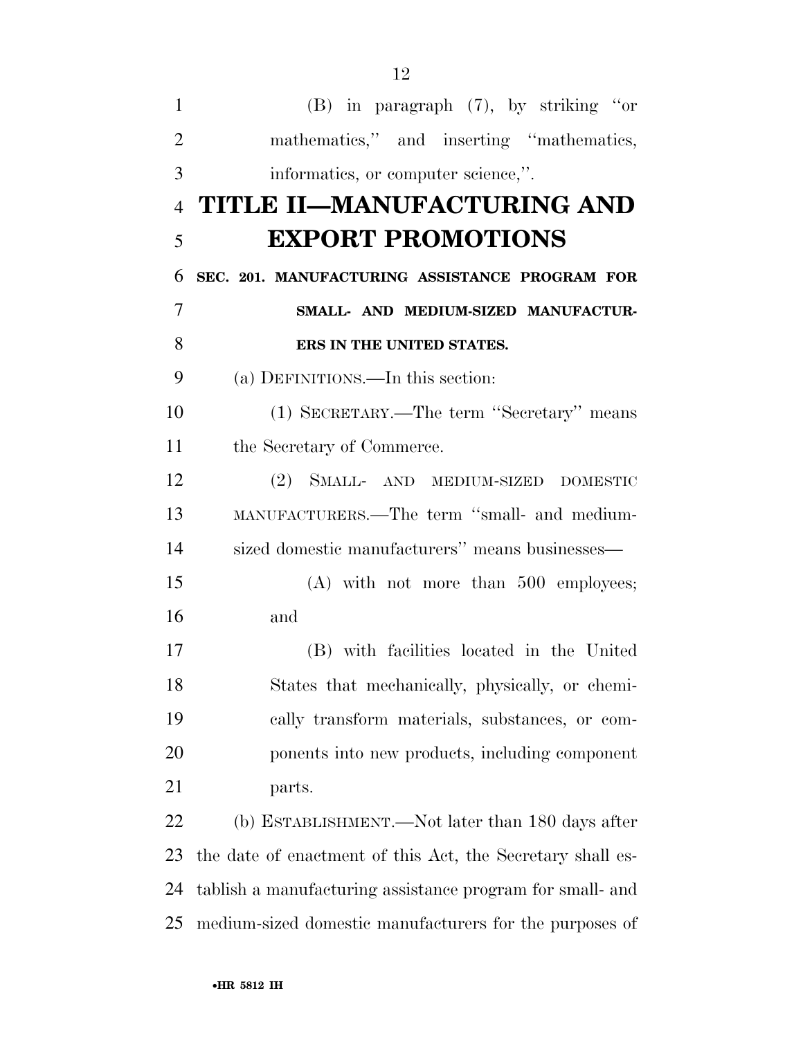(B) in paragraph (7), by striking ''or 2 mathematics," and inserting "mathematics, informatics, or computer science,''. **TITLE II—MANUFACTURING AND EXPORT PROMOTIONS SEC. 201. MANUFACTURING ASSISTANCE PROGRAM FOR SMALL- AND MEDIUM-SIZED MANUFACTUR- ERS IN THE UNITED STATES.**  (a) DEFINITIONS.—In this section: (1) SECRETARY.—The term ''Secretary'' means the Secretary of Commerce. (2) SMALL- AND MEDIUM-SIZED DOMESTIC MANUFACTURERS.—The term ''small- and medium- sized domestic manufacturers'' means businesses— (A) with not more than 500 employees; and (B) with facilities located in the United States that mechanically, physically, or chemi- cally transform materials, substances, or com- ponents into new products, including component parts. (b) ESTABLISHMENT.—Not later than 180 days after the date of enactment of this Act, the Secretary shall es- tablish a manufacturing assistance program for small- and medium-sized domestic manufacturers for the purposes of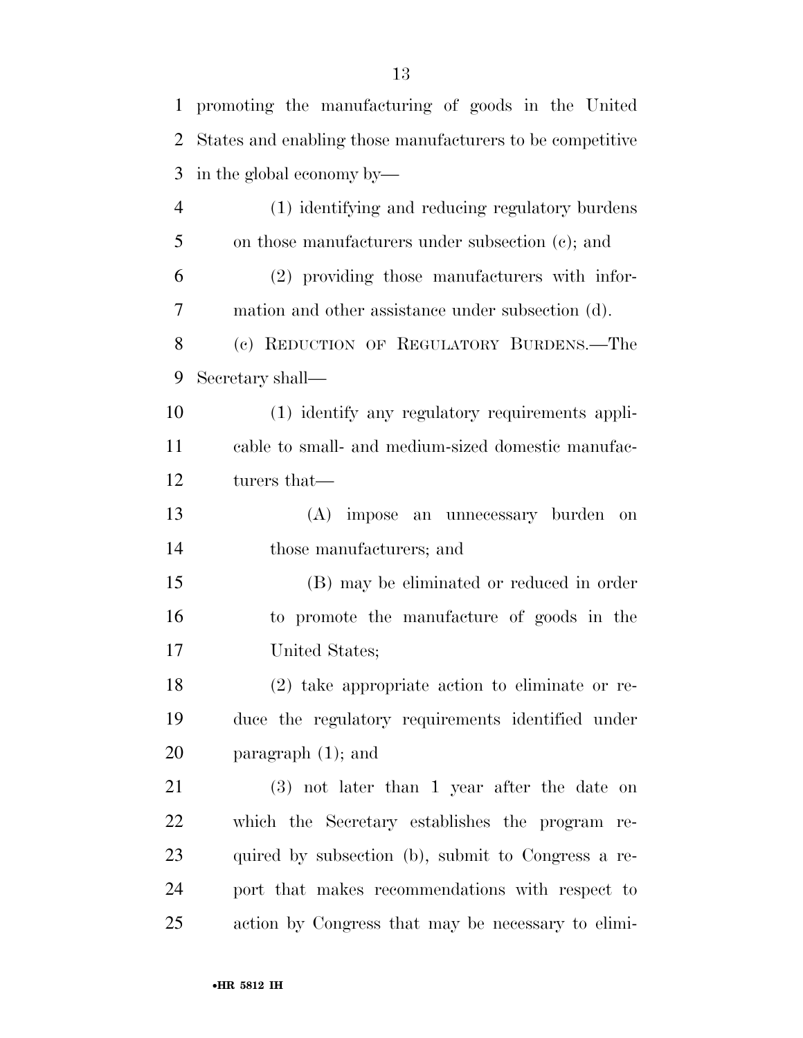| $\mathbf{1}$   | promoting the manufacturing of goods in the United         |
|----------------|------------------------------------------------------------|
| $\overline{2}$ | States and enabling those manufacturers to be competitive. |
| 3              | in the global economy by—                                  |
| $\overline{4}$ | (1) identifying and reducing regulatory burdens            |
| 5              | on those manufacturers under subsection (c); and           |
| 6              | (2) providing those manufacturers with infor-              |
| 7              | mation and other assistance under subsection (d).          |
| 8              | (c) REDUCTION OF REGULATORY BURDENS.—The                   |
| 9              | Secretary shall—                                           |
| 10             | (1) identify any regulatory requirements appli-            |
| 11             | cable to small- and medium-sized domestic manufac-         |
| 12             | turers that—                                               |
| 13             | (A) impose an unnecessary burden<br>on                     |
| 14             | those manufacturers; and                                   |
| 15             | (B) may be eliminated or reduced in order                  |
| 16             | to promote the manufacture of goods in the                 |
| 17             | United States;                                             |
| 18             | $(2)$ take appropriate action to eliminate or re-          |
| 19             | duce the regulatory requirements identified under          |
| 20             | paragraph $(1)$ ; and                                      |
| 21             | $(3)$ not later than 1 year after the date on              |
| 22             | which the Secretary establishes the program re-            |
| 23             | quired by subsection (b), submit to Congress a re-         |
| 24             | port that makes recommendations with respect to            |
| 25             | action by Congress that may be necessary to elimi-         |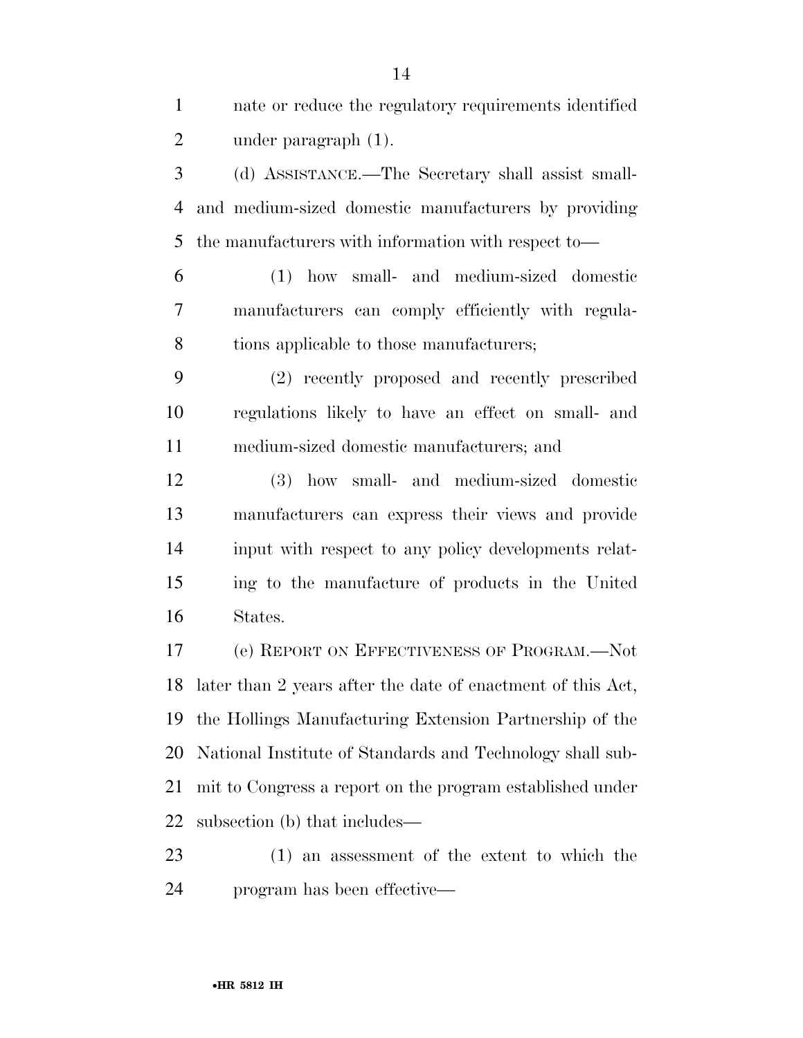| $\mathbf{1}$   | nate or reduce the regulatory requirements identified          |
|----------------|----------------------------------------------------------------|
| $\overline{2}$ | under paragraph $(1)$ .                                        |
| 3              | (d) ASSISTANCE.—The Secretary shall assist small-              |
| $\overline{4}$ | and medium-sized domestic manufacturers by providing           |
| 5              | the manufacturers with information with respect to-            |
| 6              | (1) how small- and medium-sized domestic                       |
| 7              | manufacturers can comply efficiently with regula-              |
| 8              | tions applicable to those manufacturers;                       |
| 9              | (2) recently proposed and recently prescribed                  |
| 10             | regulations likely to have an effect on small- and             |
| 11             | medium-sized domestic manufacturers; and                       |
| 12             | (3) how small- and medium-sized domestic                       |
| 13             | manufacturers can express their views and provide              |
| 14             | input with respect to any policy developments relat-           |
| 15             | ing to the manufacture of products in the United               |
| 16             | States.                                                        |
| 17             | (e) REPORT ON EFFECTIVENESS OF PROGRAM.—Not                    |
|                | 18 later than 2 years after the date of enactment of this Act, |
| 19             | the Hollings Manufacturing Extension Partnership of the        |
| 20             | National Institute of Standards and Technology shall sub-      |
| 21             | mit to Congress a report on the program established under      |

subsection (b) that includes—

 (1) an assessment of the extent to which the program has been effective—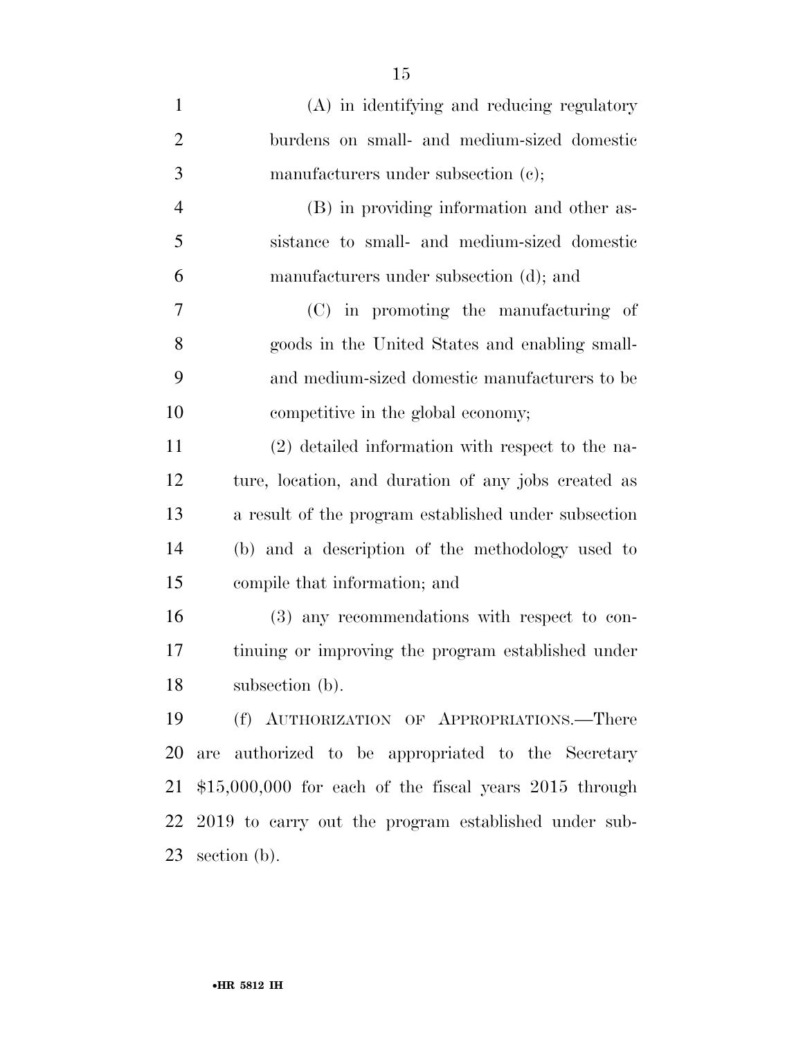| $\mathbf{1}$   | (A) in identifying and reducing regulatory              |
|----------------|---------------------------------------------------------|
| $\overline{2}$ | burdens on small- and medium-sized domestic             |
| 3              | manufacturers under subsection (c);                     |
| $\overline{4}$ | (B) in providing information and other as-              |
| 5              | sistance to small- and medium-sized domestic            |
| 6              | manufacturers under subsection (d); and                 |
| 7              | (C) in promoting the manufacturing of                   |
| 8              | goods in the United States and enabling small-          |
| 9              | and medium-sized domestic manufacturers to be           |
| 10             | competitive in the global economy;                      |
| 11             | (2) detailed information with respect to the na-        |
| 12             | ture, location, and duration of any jobs created as     |
| 13             | a result of the program established under subsection    |
| 14             | (b) and a description of the methodology used to        |
| 15             | compile that information; and                           |
| 16             | (3) any recommendations with respect to con-            |
| 17             | tinuing or improving the program established under      |
| 18             | subsection (b).                                         |
| 19             | (f) AUTHORIZATION OF APPROPRIATIONS.—There              |
| 20             | are authorized to be appropriated to the Secretary      |
| 21             | $$15,000,000$ for each of the fiscal years 2015 through |
| 22             | 2019 to carry out the program established under sub-    |
| 23             | section $(b)$ .                                         |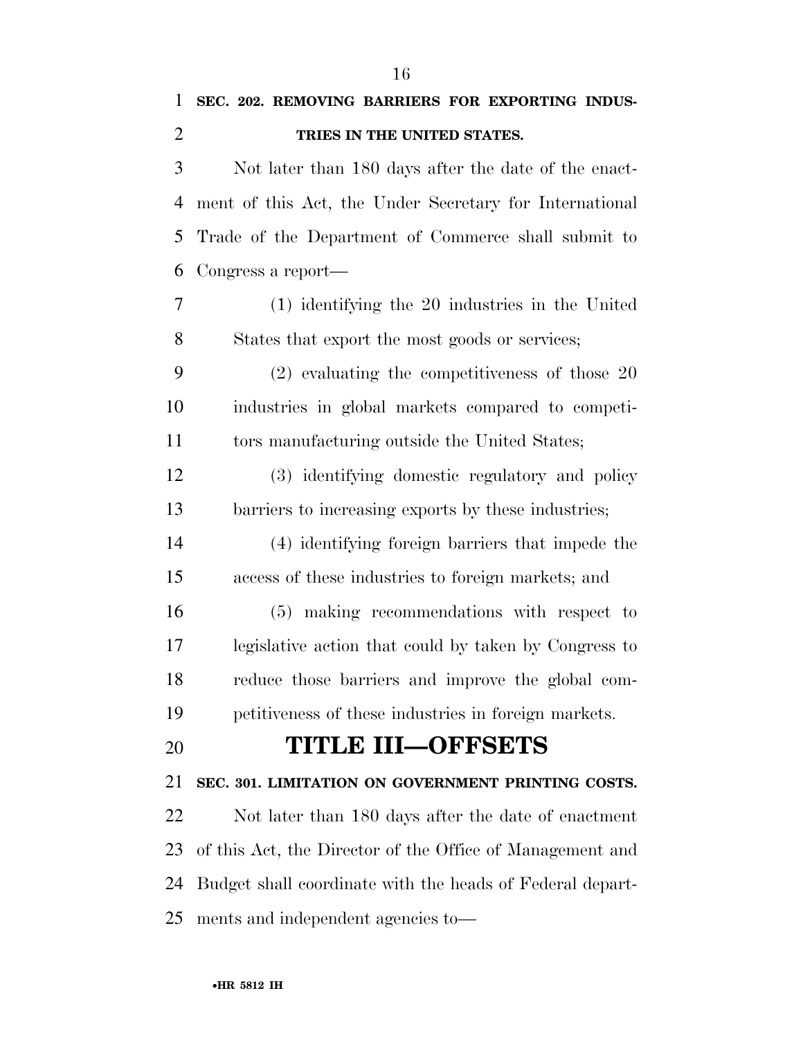**SEC. 202. REMOVING BARRIERS FOR EXPORTING INDUS-**

**TRIES IN THE UNITED STATES.** 

| 3  | Not later than 180 days after the date of the enact-      |
|----|-----------------------------------------------------------|
| 4  | ment of this Act, the Under Secretary for International   |
| 5  | Trade of the Department of Commerce shall submit to       |
| 6  | Congress a report—                                        |
| 7  | $(1)$ identifying the 20 industries in the United         |
| 8  | States that export the most goods or services;            |
| 9  | $(2)$ evaluating the competitiveness of those 20          |
| 10 | industries in global markets compared to competi-         |
| 11 | tors manufacturing outside the United States;             |
| 12 | (3) identifying domestic regulatory and policy            |
| 13 | barriers to increasing exports by these industries;       |
| 14 | (4) identifying foreign barriers that impede the          |
| 15 | access of these industries to foreign markets; and        |
| 16 | (5) making recommendations with respect to                |
| 17 | legislative action that could by taken by Congress to     |
| 18 | reduce those barriers and improve the global com-         |
| 19 | petitiveness of these industries in foreign markets.      |
| 20 | <b>TITLE III-OFFSETS</b>                                  |
| 21 | SEC. 301. LIMITATION ON GOVERNMENT PRINTING COSTS.        |
| 22 | Not later than 180 days after the date of enactment       |
| 23 | of this Act, the Director of the Office of Management and |
| 24 | Budget shall coordinate with the heads of Federal depart- |
| 25 | ments and independent agencies to—                        |
|    | •HR 5812 IH                                               |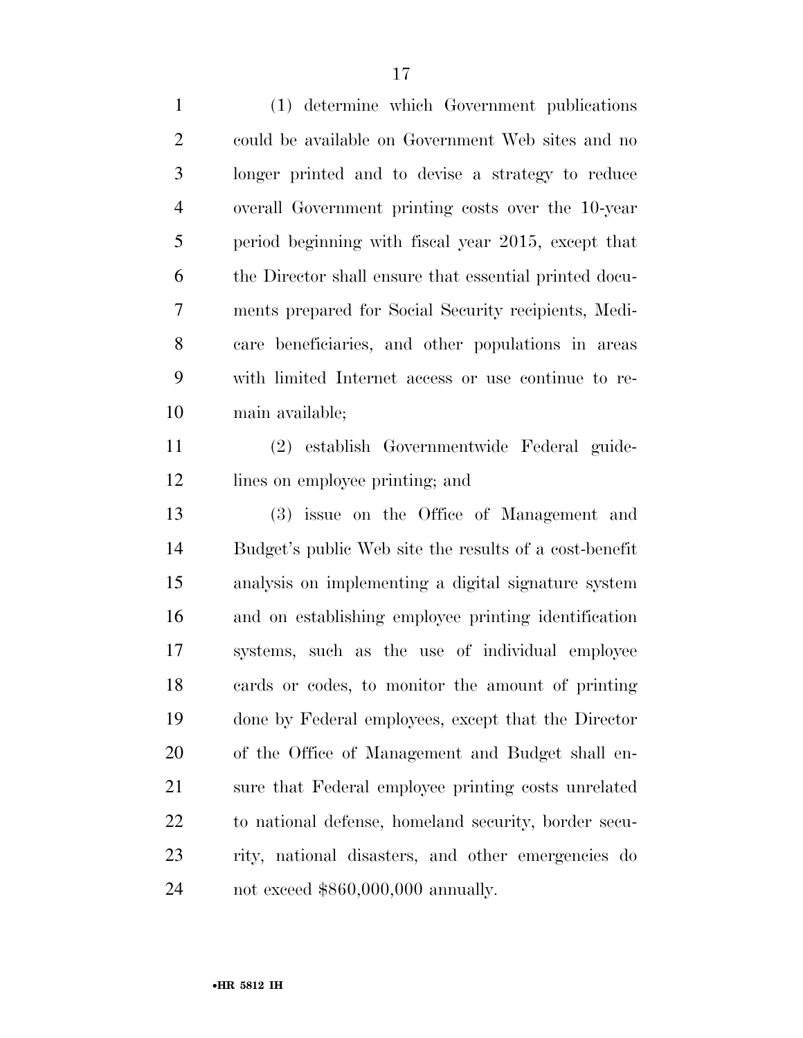(1) determine which Government publications could be available on Government Web sites and no longer printed and to devise a strategy to reduce overall Government printing costs over the 10-year period beginning with fiscal year 2015, except that the Director shall ensure that essential printed docu- ments prepared for Social Security recipients, Medi- care beneficiaries, and other populations in areas with limited Internet access or use continue to re-main available;

 (2) establish Governmentwide Federal guide-lines on employee printing; and

 (3) issue on the Office of Management and Budget's public Web site the results of a cost-benefit analysis on implementing a digital signature system and on establishing employee printing identification systems, such as the use of individual employee cards or codes, to monitor the amount of printing done by Federal employees, except that the Director of the Office of Management and Budget shall en- sure that Federal employee printing costs unrelated to national defense, homeland security, border secu- rity, national disasters, and other emergencies do not exceed \$860,000,000 annually.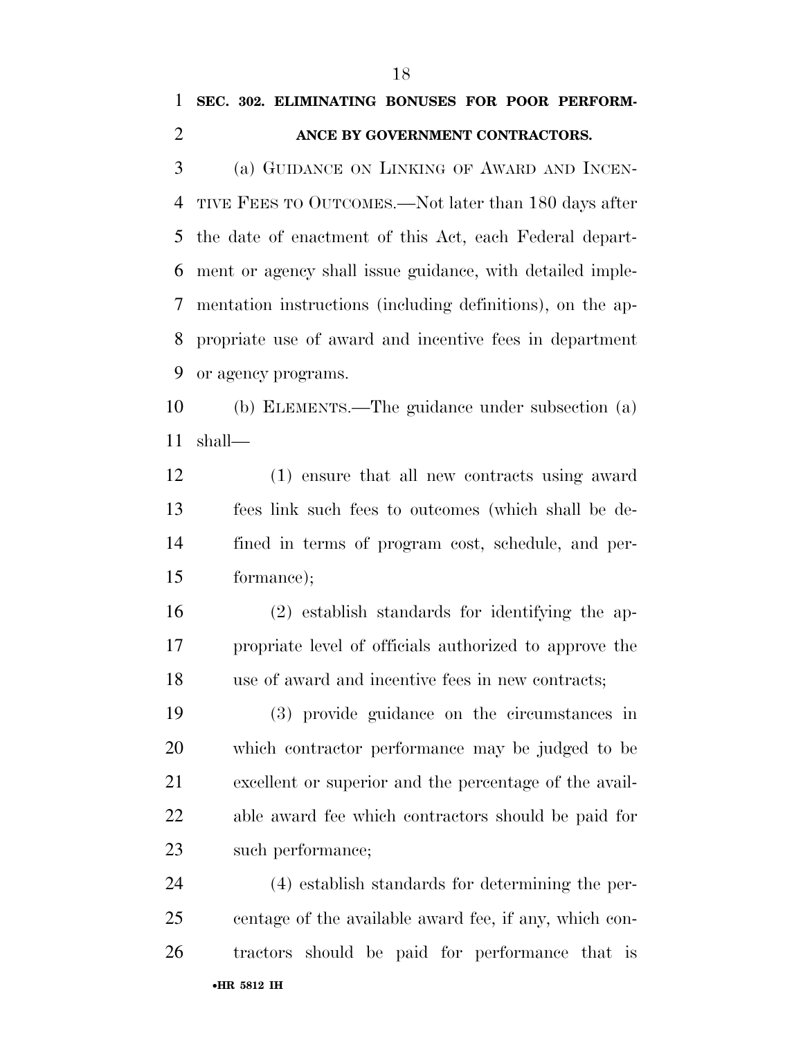## **SEC. 302. ELIMINATING BONUSES FOR POOR PERFORM-ANCE BY GOVERNMENT CONTRACTORS.**

 (a) GUIDANCE ON LINKING OF AWARD AND INCEN- TIVE FEES TO OUTCOMES.—Not later than 180 days after the date of enactment of this Act, each Federal depart- ment or agency shall issue guidance, with detailed imple- mentation instructions (including definitions), on the ap- propriate use of award and incentive fees in department or agency programs.

 (b) ELEMENTS.—The guidance under subsection (a) shall—

 (1) ensure that all new contracts using award fees link such fees to outcomes (which shall be de- fined in terms of program cost, schedule, and per-formance);

 (2) establish standards for identifying the ap- propriate level of officials authorized to approve the use of award and incentive fees in new contracts;

 (3) provide guidance on the circumstances in which contractor performance may be judged to be excellent or superior and the percentage of the avail- able award fee which contractors should be paid for such performance;

•**HR 5812 IH** (4) establish standards for determining the per- centage of the available award fee, if any, which con-tractors should be paid for performance that is